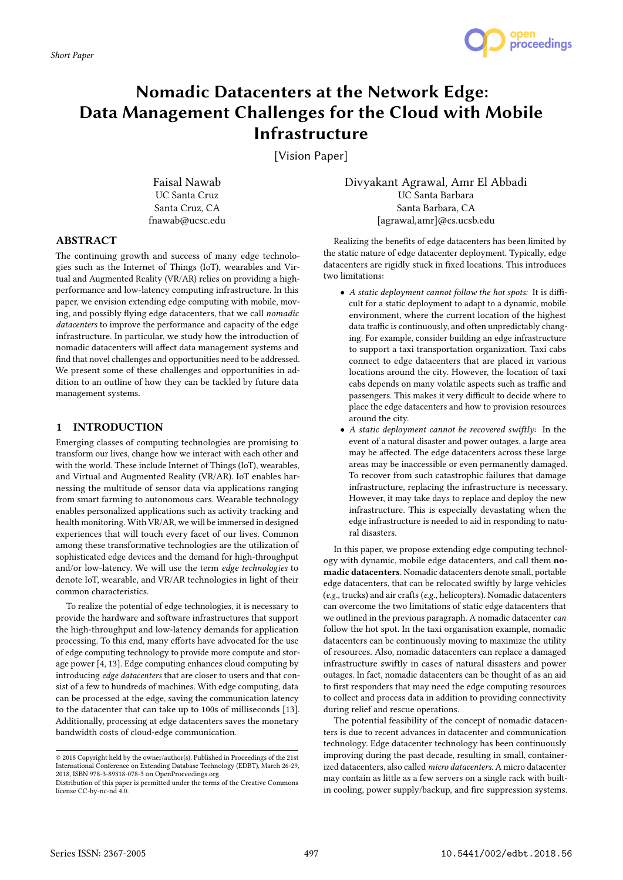

# Nomadic Datacenters at the Network Edge: Data Management Challenges for the Cloud with Mobile Infrastructure

[Vision Paper]

Faisal Nawab UC Santa Cruz Santa Cruz, CA fnawab@ucsc.edu Divyakant Agrawal, Amr El Abbadi UC Santa Barbara Santa Barbara, CA [agrawal,amr]@cs.ucsb.edu

## ABSTRACT

The continuing growth and success of many edge technologies such as the Internet of Things (IoT), wearables and Virtual and Augmented Reality (VR/AR) relies on providing a highperformance and low-latency computing infrastructure. In this paper, we envision extending edge computing with mobile, moving, and possibly flying edge datacenters, that we call nomadic datacenters to improve the performance and capacity of the edge infrastructure. In particular, we study how the introduction of nomadic datacenters will affect data management systems and find that novel challenges and opportunities need to be addressed. We present some of these challenges and opportunities in addition to an outline of how they can be tackled by future data management systems.

## 1 INTRODUCTION

Emerging classes of computing technologies are promising to transform our lives, change how we interact with each other and with the world. These include Internet of Things (IoT), wearables, and Virtual and Augmented Reality (VR/AR). IoT enables harnessing the multitude of sensor data via applications ranging from smart farming to autonomous cars. Wearable technology enables personalized applications such as activity tracking and health monitoring. With VR/AR, we will be immersed in designed experiences that will touch every facet of our lives. Common among these transformative technologies are the utilization of sophisticated edge devices and the demand for high-throughput and/or low-latency. We will use the term edge technologies to denote IoT, wearable, and VR/AR technologies in light of their common characteristics.

To realize the potential of edge technologies, it is necessary to provide the hardware and software infrastructures that support the high-throughput and low-latency demands for application processing. To this end, many efforts have advocated for the use of edge computing technology to provide more compute and storage power [4, 13]. Edge computing enhances cloud computing by introducing edge datacenters that are closer to users and that consist of a few to hundreds of machines. With edge computing, data can be processed at the edge, saving the communication latency to the datacenter that can take up to 100s of milliseconds [13]. Additionally, processing at edge datacenters saves the monetary bandwidth costs of cloud-edge communication.

Realizing the benefits of edge datacenters has been limited by the static nature of edge datacenter deployment. Typically, edge datacenters are rigidly stuck in fixed locations. This introduces two limitations:

- A static deployment cannot follow the hot spots: It is difficult for a static deployment to adapt to a dynamic, mobile environment, where the current location of the highest data traffic is continuously, and often unpredictably changing. For example, consider building an edge infrastructure to support a taxi transportation organization. Taxi cabs connect to edge datacenters that are placed in various locations around the city. However, the location of taxi cabs depends on many volatile aspects such as traffic and passengers. This makes it very difficult to decide where to place the edge datacenters and how to provision resources around the city.
- A static deployment cannot be recovered swiftly: In the event of a natural disaster and power outages, a large area may be affected. The edge datacenters across these large areas may be inaccessible or even permanently damaged. To recover from such catastrophic failures that damage infrastructure, replacing the infrastructure is necessary. However, it may take days to replace and deploy the new infrastructure. This is especially devastating when the edge infrastructure is needed to aid in responding to natural disasters.

In this paper, we propose extending edge computing technology with dynamic, mobile edge datacenters, and call them nomadic datacenters. Nomadic datacenters denote small, portable edge datacenters, that can be relocated swiftly by large vehicles (e.g., trucks) and air crafts (e.g., helicopters). Nomadic datacenters can overcome the two limitations of static edge datacenters that we outlined in the previous paragraph. A nomadic datacenter can follow the hot spot. In the taxi organisation example, nomadic datacenters can be continuously moving to maximize the utility of resources. Also, nomadic datacenters can replace a damaged infrastructure swiftly in cases of natural disasters and power outages. In fact, nomadic datacenters can be thought of as an aid to first responders that may need the edge computing resources to collect and process data in addition to providing connectivity during relief and rescue operations.

The potential feasibility of the concept of nomadic datacenters is due to recent advances in datacenter and communication technology. Edge datacenter technology has been continuously improving during the past decade, resulting in small, containerized datacenters, also called micro datacenters. A micro datacenter may contain as little as a few servers on a single rack with builtin cooling, power supply/backup, and fire suppression systems.

<sup>©</sup> 2018 Copyright held by the owner/author(s). Published in Proceedings of the 21st International Conference on Extending Database Technology (EDBT), March 26-29, 2018, ISBN 978-3-89318-078-3 on OpenProceedings.org.

Distribution of this paper is permitted under the terms of the Creative Commons license CC-by-nc-nd 4.0.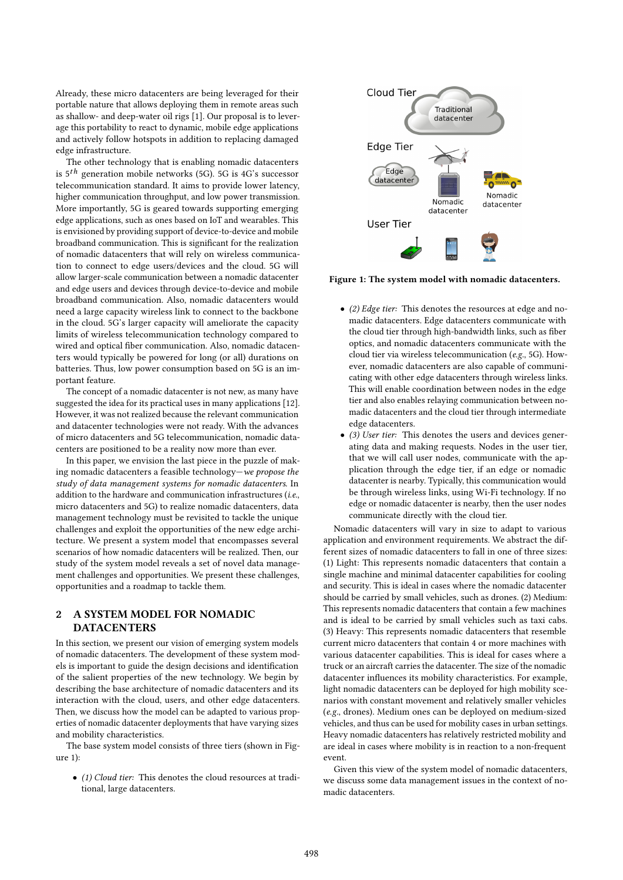Already, these micro datacenters are being leveraged for their portable nature that allows deploying them in remote areas such as shallow- and deep-water oil rigs [1]. Our proposal is to leverage this portability to react to dynamic, mobile edge applications and actively follow hotspots in addition to replacing damaged edge infrastructure.

The other technology that is enabling nomadic datacenters is  $5<sup>th</sup>$  generation mobile networks (5G). 5G is 4G's successor telecommunication standard. It aims to provide lower latency, higher communication throughput, and low power transmission. More importantly, 5G is geared towards supporting emerging edge applications, such as ones based on IoT and wearables. This is envisioned by providing support of device-to-device and mobile broadband communication. This is significant for the realization of nomadic datacenters that will rely on wireless communication to connect to edge users/devices and the cloud. 5G will allow larger-scale communication between a nomadic datacenter and edge users and devices through device-to-device and mobile broadband communication. Also, nomadic datacenters would need a large capacity wireless link to connect to the backbone in the cloud. 5G's larger capacity will ameliorate the capacity limits of wireless telecommunication technology compared to wired and optical fiber communication. Also, nomadic datacenters would typically be powered for long (or all) durations on batteries. Thus, low power consumption based on 5G is an important feature.

The concept of a nomadic datacenter is not new, as many have suggested the idea for its practical uses in many applications [12]. However, it was not realized because the relevant communication and datacenter technologies were not ready. With the advances of micro datacenters and 5G telecommunication, nomadic datacenters are positioned to be a reality now more than ever.

In this paper, we envision the last piece in the puzzle of making nomadic datacenters a feasible technology—we propose the study of data management systems for nomadic datacenters. In addition to the hardware and communication infrastructures (i.e., micro datacenters and 5G) to realize nomadic datacenters, data management technology must be revisited to tackle the unique challenges and exploit the opportunities of the new edge architecture. We present a system model that encompasses several scenarios of how nomadic datacenters will be realized. Then, our study of the system model reveals a set of novel data management challenges and opportunities. We present these challenges, opportunities and a roadmap to tackle them.

## 2 A SYSTEM MODEL FOR NOMADIC DATACENTERS

In this section, we present our vision of emerging system models of nomadic datacenters. The development of these system models is important to guide the design decisions and identification of the salient properties of the new technology. We begin by describing the base architecture of nomadic datacenters and its interaction with the cloud, users, and other edge datacenters. Then, we discuss how the model can be adapted to various properties of nomadic datacenter deployments that have varying sizes and mobility characteristics.

The base system model consists of three tiers (shown in Figure 1):

• (1) Cloud tier: This denotes the cloud resources at traditional, large datacenters.



Figure 1: The system model with nomadic datacenters.

- (2) Edge tier: This denotes the resources at edge and nomadic datacenters. Edge datacenters communicate with the cloud tier through high-bandwidth links, such as fiber optics, and nomadic datacenters communicate with the cloud tier via wireless telecommunication (e.g., 5G). However, nomadic datacenters are also capable of communicating with other edge datacenters through wireless links. This will enable coordination between nodes in the edge tier and also enables relaying communication between nomadic datacenters and the cloud tier through intermediate edge datacenters.
- (3) User tier: This denotes the users and devices generating data and making requests. Nodes in the user tier, that we will call user nodes, communicate with the application through the edge tier, if an edge or nomadic datacenter is nearby. Typically, this communication would be through wireless links, using Wi-Fi technology. If no edge or nomadic datacenter is nearby, then the user nodes communicate directly with the cloud tier.

Nomadic datacenters will vary in size to adapt to various application and environment requirements. We abstract the different sizes of nomadic datacenters to fall in one of three sizes: (1) Light: This represents nomadic datacenters that contain a single machine and minimal datacenter capabilities for cooling and security. This is ideal in cases where the nomadic datacenter should be carried by small vehicles, such as drones. (2) Medium: This represents nomadic datacenters that contain a few machines and is ideal to be carried by small vehicles such as taxi cabs. (3) Heavy: This represents nomadic datacenters that resemble current micro datacenters that contain 4 or more machines with various datacenter capabilities. This is ideal for cases where a truck or an aircraft carries the datacenter. The size of the nomadic datacenter influences its mobility characteristics. For example, light nomadic datacenters can be deployed for high mobility scenarios with constant movement and relatively smaller vehicles (e.g., drones). Medium ones can be deployed on medium-sized vehicles, and thus can be used for mobility cases in urban settings. Heavy nomadic datacenters has relatively restricted mobility and are ideal in cases where mobility is in reaction to a non-frequent event.

Given this view of the system model of nomadic datacenters, we discuss some data management issues in the context of nomadic datacenters.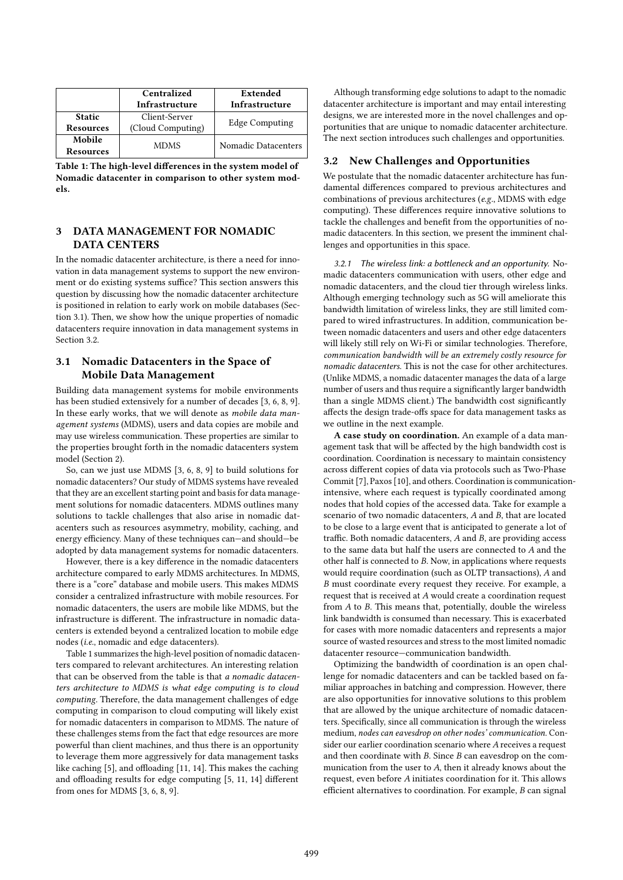|                  | Centralized       | Extended              |
|------------------|-------------------|-----------------------|
|                  | Infrastructure    | Infrastructure        |
| <b>Static</b>    | Client-Server     |                       |
| <b>Resources</b> | (Cloud Computing) | <b>Edge Computing</b> |
| Mobile           | <b>MDMS</b>       | Nomadic Datacenters   |
| <b>Resources</b> |                   |                       |

Table 1: The high-level differences in the system model of Nomadic datacenter in comparison to other system models.

### 3 DATA MANAGEMENT FOR NOMADIC DATA CENTERS

In the nomadic datacenter architecture, is there a need for innovation in data management systems to support the new environment or do existing systems suffice? This section answers this question by discussing how the nomadic datacenter architecture is positioned in relation to early work on mobile databases (Section 3.1). Then, we show how the unique properties of nomadic datacenters require innovation in data management systems in Section 3.2.

## 3.1 Nomadic Datacenters in the Space of Mobile Data Management

Building data management systems for mobile environments has been studied extensively for a number of decades [3, 6, 8, 9]. In these early works, that we will denote as mobile data management systems (MDMS), users and data copies are mobile and may use wireless communication. These properties are similar to the properties brought forth in the nomadic datacenters system model (Section 2).

So, can we just use MDMS [3, 6, 8, 9] to build solutions for nomadic datacenters? Our study of MDMS systems have revealed that they are an excellent starting point and basis for data management solutions for nomadic datacenters. MDMS outlines many solutions to tackle challenges that also arise in nomadic datacenters such as resources asymmetry, mobility, caching, and energy efficiency. Many of these techniques can—and should—be adopted by data management systems for nomadic datacenters.

However, there is a key difference in the nomadic datacenters architecture compared to early MDMS architectures. In MDMS, there is a "core" database and mobile users. This makes MDMS consider a centralized infrastructure with mobile resources. For nomadic datacenters, the users are mobile like MDMS, but the infrastructure is different. The infrastructure in nomadic datacenters is extended beyond a centralized location to mobile edge nodes (i.e., nomadic and edge datacenters).

Table 1 summarizes the high-level position of nomadic datacenters compared to relevant architectures. An interesting relation that can be observed from the table is that a nomadic datacenters architecture to MDMS is what edge computing is to cloud computing. Therefore, the data management challenges of edge computing in comparison to cloud computing will likely exist for nomadic datacenters in comparison to MDMS. The nature of these challenges stems from the fact that edge resources are more powerful than client machines, and thus there is an opportunity to leverage them more aggressively for data management tasks like caching [5], and offloading [11, 14]. This makes the caching and offloading results for edge computing [5, 11, 14] different from ones for MDMS [3, 6, 8, 9].

Although transforming edge solutions to adapt to the nomadic datacenter architecture is important and may entail interesting designs, we are interested more in the novel challenges and opportunities that are unique to nomadic datacenter architecture. The next section introduces such challenges and opportunities.

#### 3.2 New Challenges and Opportunities

We postulate that the nomadic datacenter architecture has fundamental differences compared to previous architectures and combinations of previous architectures (e.g., MDMS with edge computing). These differences require innovative solutions to tackle the challenges and benefit from the opportunities of nomadic datacenters. In this section, we present the imminent challenges and opportunities in this space.

3.2.1 The wireless link: a bottleneck and an opportunity. Nomadic datacenters communication with users, other edge and nomadic datacenters, and the cloud tier through wireless links. Although emerging technology such as 5G will ameliorate this bandwidth limitation of wireless links, they are still limited compared to wired infrastructures. In addition, communication between nomadic datacenters and users and other edge datacenters will likely still rely on Wi-Fi or similar technologies. Therefore, communication bandwidth will be an extremely costly resource for nomadic datacenters. This is not the case for other architectures. (Unlike MDMS, a nomadic datacenter manages the data of a large number of users and thus require a significantly larger bandwidth than a single MDMS client.) The bandwidth cost significantly affects the design trade-offs space for data management tasks as we outline in the next example.

A case study on coordination. An example of a data management task that will be affected by the high bandwidth cost is coordination. Coordination is necessary to maintain consistency across different copies of data via protocols such as Two-Phase Commit [7], Paxos [10], and others. Coordination is communicationintensive, where each request is typically coordinated among nodes that hold copies of the accessed data. Take for example a scenario of two nomadic datacenters, A and B, that are located to be close to a large event that is anticipated to generate a lot of traffic. Both nomadic datacenters,  $A$  and  $B$ , are providing access to the same data but half the users are connected to A and the other half is connected to B. Now, in applications where requests would require coordination (such as OLTP transactions), A and B must coordinate every request they receive. For example, a request that is received at A would create a coordination request from A to B. This means that, potentially, double the wireless link bandwidth is consumed than necessary. This is exacerbated for cases with more nomadic datacenters and represents a major source of wasted resources and stress to the most limited nomadic datacenter resource—communication bandwidth.

Optimizing the bandwidth of coordination is an open challenge for nomadic datacenters and can be tackled based on familiar approaches in batching and compression. However, there are also opportunities for innovative solutions to this problem that are allowed by the unique architecture of nomadic datacenters. Specifically, since all communication is through the wireless medium, nodes can eavesdrop on other nodes' communication. Consider our earlier coordination scenario where A receives a request and then coordinate with  $B$ . Since  $B$  can eavesdrop on the communication from the user to A, then it already knows about the request, even before A initiates coordination for it. This allows efficient alternatives to coordination. For example, B can signal